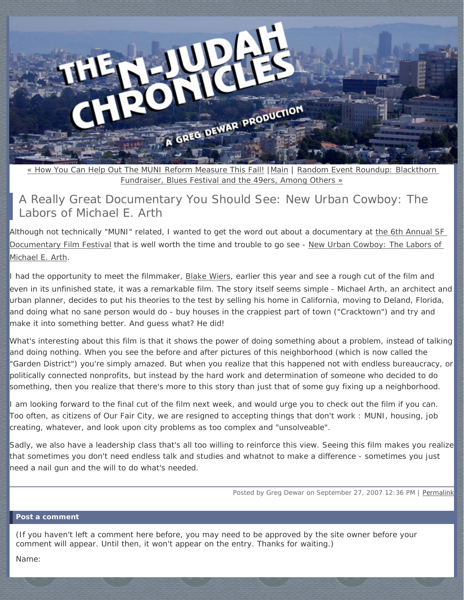<span id="page-0-0"></span>

« How *You* [Can Help Out The MUNI Reform Measure This Fall!](#page-3-0) |[Main](http://www.njudahchronicles.com/) | [Random Event Roundup: Blackthorn](#page-6-0) [Fundraiser, Blues Festival and the 49ers, Among Others »](#page-6-0)

# A Really Great Documentary You Should See: *New Urban Cowboy: The Labors of Michael E. Arth*

Although not technically "MUNI" related, I wanted to get the word out about a documentary at [the 6th Annual SF](http://docfest.withoutabox.com/)  [Documentary Film Festival](http://docfest.withoutabox.com/) that is well worth the time and trouble to go see - [New Urban Cowboy: The Labors of](http://docfest.withoutabox.com/festivals/event_item.php?id=10352)  [Michael E. Arth.](http://docfest.withoutabox.com/festivals/event_item.php?id=10352)

I had the opportunity to meet the filmmaker, [Blake Wiers](http://www.blakewiers.com/), earlier this year and see a rough cut of the film and even in its unfinished state, it was a remarkable film. The story itself seems simple - Michael Arth, an architect and urban planner, decides to put his theories to the test by selling his home in California, moving to Deland, Florida, and doing what no sane person would do - buy houses in the crappiest part of town ("Cracktown") and try and make it into something better. And guess what? He did!

What's interesting about this film is that it shows the power of doing *something* about a problem, instead of talking and doing *nothing*. When you see the before and after pictures of this neighborhood (which is now called the "Garden District") you're simply amazed. But when you realize that this happened not with endless bureaucracy, or politically connected nonprofits, but instead by the hard work and determination of someone who decided to do something, then you realize that there's more to this story than just that of some guy fixing up a neighborhood.

I am looking forward to the final cut of the film next week, and would urge you to check out the film if you can. Too often, as citizens of Our Fair City, we are resigned to accepting things that don't work : MUNI, housing, job creating, whatever, and look upon city problems as too complex and "unsolveable".

Sadly, we also have a leadership class that's all too willing to reinforce this view. Seeing this film makes you realize that sometimes you don't need endless talk and studies and whatnot to make a difference - sometimes you just need a nail gun and the will to do what's needed.

Posted by Greg Dewar on September 27, 2007 12:36 PM | [Permalink](#page-0-0)

#### **Post a comment**

(If you haven't left a comment here before, you may need to be approved by the site owner before your comment will appear. Until then, it won't appear on the entry. Thanks for waiting.)

Name: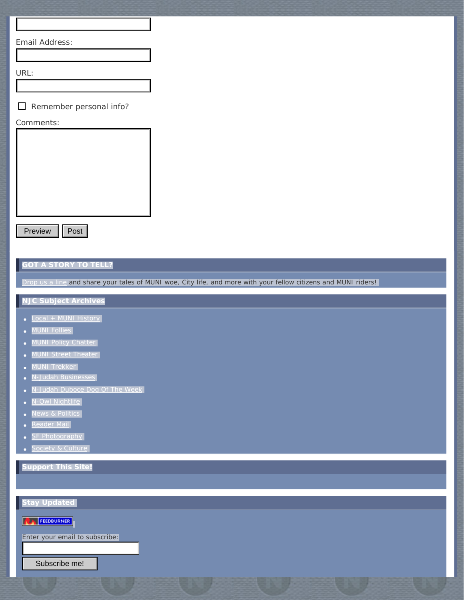Email Address:

URL:

 $\Box$  Remember personal info?

#### Comments:



Preview | Post

### **GOT A STORY TO TELL?**

[Drop us a line](mailto:gregdewar@gmail.com) and share your tales of MUNI woe, City life, and more with your fellow citizens and MUNI riders!

## **NJC Subject Archives**

- [Local + MUNI History](http://www.njudahchronicles.com/local_muni_history/)
- **[MUNI Follies](http://www.njudahchronicles.com/muni_follies/)**
- **[MUNI Policy Chatter](http://www.njudahchronicles.com/muni_policy_chatter/)**
- **[MUNI Street Theater](http://www.njudahchronicles.com/muni_street_theater/)**
- MUNI Trekker
- [N-Judah Businesses](http://www.njudahchronicles.com/njudah_businesses/)
- [N-Judah Duboce Dog Of The Week](http://www.njudahchronicles.com/njudah_duboce_dog_of_the_week/)
- [N-Owl Nightlife](http://www.njudahchronicles.com/nowl_nightlife/)
- News & Politics
- [Reader Mail](http://www.njudahchronicles.com/reader_mail/)
- **[SF Photography](http://www.njudahchronicles.com/sf_photography/)**
- **[Society & Culture](http://www.njudahchronicles.com/society_culture/)**

**Support This Site!**

**Stay Updated EX FEEDBURNER** Enter your email to subscribe: Subscribe me!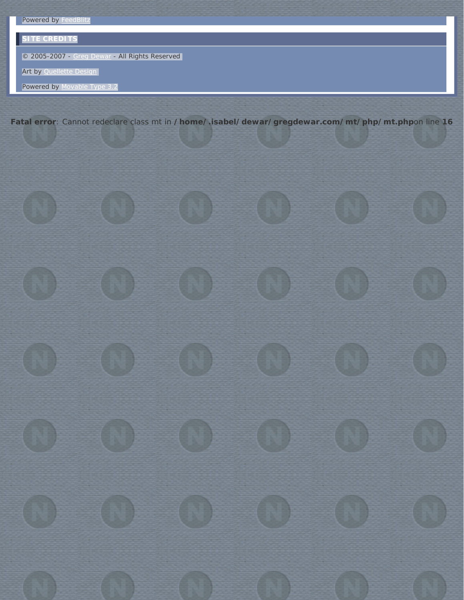# **SITE CREDITS**

© 2005-2007 - [Greg Dewar](http://www.dewar.us/) - All Rights Reserved

Art by [Quellette Design](http://www.quellette.net/)

Powered by [Movable Type 3.2](http://www.sixapart.com/movabletype/)

**Fatal error**: Cannot redeclare class mt in **/home/.isabel/dewar/gregdewar.com/mt/php/mt.php**on line **16**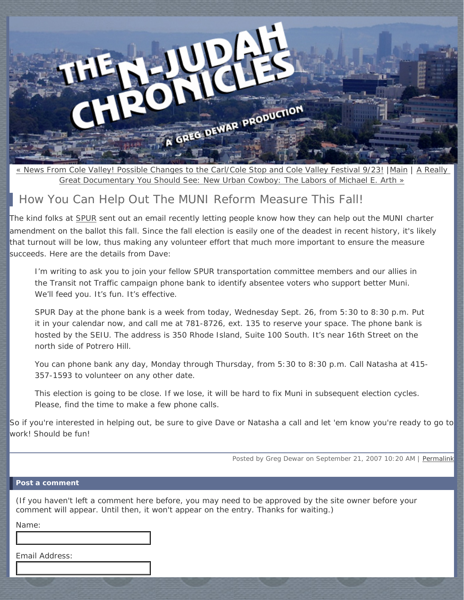<span id="page-3-0"></span>

[« News From Cole Valley! Possible Changes to the Carl/Cole Stop and Cole Valley Festival 9/23!](http://www.njudahchronicles.com/2007/09/news_from_cole_valley_possible.html) |[Main](http://www.njudahchronicles.com/) | [A Really](#page-0-0)  Great Documentary You Should See: *[New Urban Cowboy: The Labors of Michael E. Arth](#page-0-0)* »

# How *You* Can Help Out The MUNI Reform Measure This Fall!

The kind folks at [SPUR](http://www.spur.org/) sent out an email recently letting people know how they can help out the MUNI charter amendment on the ballot this fall. Since the fall election is easily one of the deadest in recent history, it's likely that turnout will be low, thus making any volunteer effort that much more important to ensure the measure succeeds. Here are the details from Dave:

I'm writing to ask you to join your fellow SPUR transportation committee members and our allies in the Transit not Traffic campaign phone bank to identify absentee voters who support better Muni. We'll feed you. It's fun. It's effective.

SPUR Day at the phone bank is a week from today, Wednesday Sept. 26, from 5:30 to 8:30 p.m. Put it in your calendar now, and call me at 781-8726, ext. 135 to reserve your space. The phone bank is hosted by the SEIU. The address is 350 Rhode Island, Suite 100 South. It's near 16th Street on the north side of Potrero Hill.

You can phone bank any day, Monday through Thursday, from 5:30 to 8:30 p.m. Call Natasha at 415- 357-1593 to volunteer on any other date.

This election is going to be close. If we lose, it will be hard to fix Muni in subsequent election cycles. Please, find the time to make a few phone calls.

So if you're interested in helping out, be sure to give Dave or Natasha a call and let 'em know you're ready to go to work! Should be fun!

Posted by Greg Dewar on September 21, 2007 10:20 AM | [Permalink](#page-3-0)

### **Post a comment**

(If you haven't left a comment here before, you may need to be approved by the site owner before your comment will appear. Until then, it won't appear on the entry. Thanks for waiting.)

Name:

Email Address: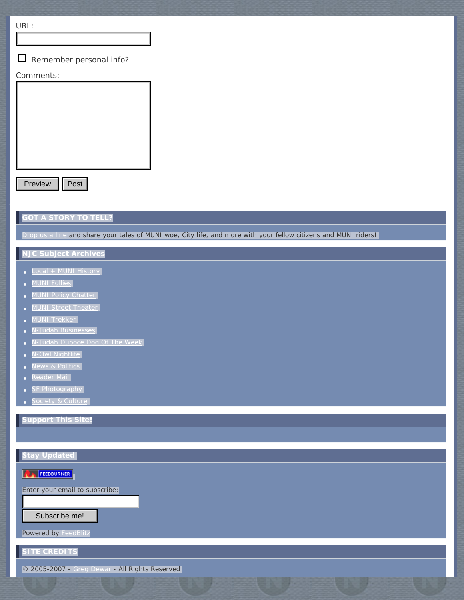URL:

Remember personal info?

## Comments:

Preview | Post

# **GOT A STORY TO TELL?**

[Drop us a line](mailto:gregdewar@gmail.com) and share your tales of MUNI woe, City life, and more with your fellow citizens and MUNI riders!

# **NJC Subject Archives**

- [Local + MUNI History](http://www.njudahchronicles.com/local_muni_history/)
- [MUNI Follies](http://www.njudahchronicles.com/muni_follies/)
- [MUNI Policy Chatter](http://www.njudahchronicles.com/muni_policy_chatter/)
- [MUNI Street Theater](http://www.njudahchronicles.com/muni_street_theater/)
- MUNI Trekker
- [N-Judah Businesses](http://www.njudahchronicles.com/njudah_businesses/)
- [N-Judah Duboce Dog Of The Week](http://www.njudahchronicles.com/njudah_duboce_dog_of_the_week/)
- [N-Owl Nightlife](http://www.njudahchronicles.com/nowl_nightlife/)
- News & Politics
- [Reader Mail](http://www.njudahchronicles.com/reader_mail/)
- **[SF Photography](http://www.njudahchronicles.com/sf_photography/)**
- **[Society & Culture](http://www.njudahchronicles.com/society_culture/)**

**Support This Site!**

| <b>Stay Updated</b>                            |
|------------------------------------------------|
|                                                |
| <b>FEEDBURNER</b>                              |
| Enter your email to subscribe:                 |
|                                                |
| Subscribe me!                                  |
| <b>Powered by FeedBlitz</b>                    |
|                                                |
| <b>SITE CREDITS</b>                            |
| © 2005-2007 - Greg Dewar - All Rights Reserved |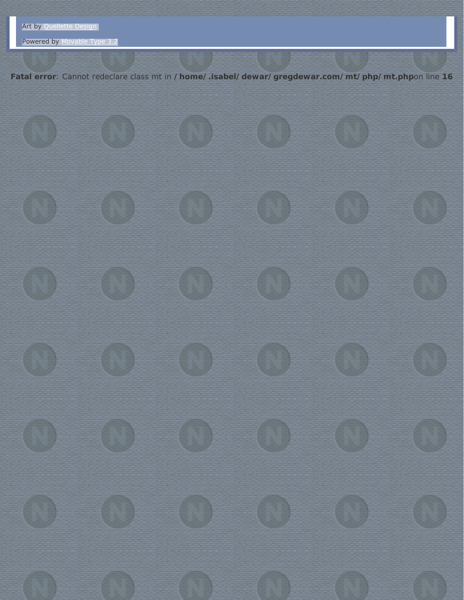Powered by [Movable Type 3.2](http://www.sixapart.com/movabletype/)

**Fatal error**: Cannot redeclare class mt in **/home/.isabel/dewar/gregdewar.com/mt/php/mt.php**on line **16**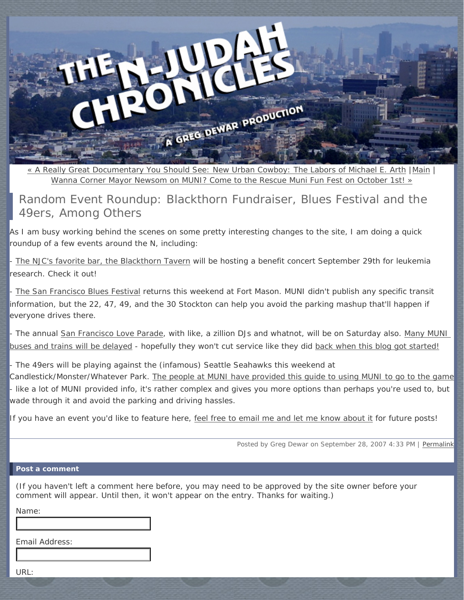<span id="page-6-0"></span>

« A Really Great Documentary You Should See: *[New Urban Cowboy: The Labors of Michael E. Arth](#page-0-0)* [|Main](http://www.njudahchronicles.com/) | [Wanna Corner Mayor Newsom on MUNI? Come to the Rescue Muni Fun Fest on October 1st! »](http://www.njudahchronicles.com/2007/09/wanna_corner_mayor_newsom_on_m.html)

Random Event Roundup: Blackthorn Fundraiser, Blues Festival and the 49ers, Among Others

As I am busy working behind the scenes on some pretty interesting changes to the site, I am doing a quick roundup of a few events around the N, including:

- [The NJC's favorite bar, the Blackthorn Tavern](http://blackthornsf.com/index.html) will be hosting a benefit concert September 29th for leukemia research. Check it out!

[The San Francisco Blues Festival](http://www.sfblues.com/) returns this weekend at Fort Mason. MUNI didn't publish any specific transit information, but the 22, 47, 49, and the 30 Stockton can help you avoid the parking mashup that'll happen if *everyone* drives there.

- The annual [San Francisco Love Parade](http://www2.sflovefest.org/), with like, a zillion DJs and whatnot, will be on Saturday also. Many MUNI [buses and trains will be delayed](http://www.sfmta.com/cms/malerts/LoveParadeDemonstration.htm) - hopefully they won't cut service like they did [back when this blog got started!](http://www.njudahchronicles.com/2005/09/sf_has_a_festival_for_everyone.html)

- The 49ers will be playing against the (infamous) Seattle Seahawks this weekend at Candlestick/Monster/Whatever Park. [The people at MUNI have provided this guide to using MUNI to go to the game](http://www.sfmta.com/cms/mroutes/3comsvc.htm) - like a lot of MUNI provided info, it's rather complex and gives you more options than perhaps you're used to, but wade through it and avoid the parking and driving hassles.

If you have an event you'd like to feature here, [feel free to email me and let me know about it](mailto:gregdewar@gmail.com) for future posts!

Posted by Greg Dewar on September 28, 2007 4:33 PM | [Permalink](#page-6-0)

#### **Post a comment**

(If you haven't left a comment here before, you may need to be approved by the site owner before your comment will appear. Until then, it won't appear on the entry. Thanks for waiting.)

Name:

Email Address:

URL: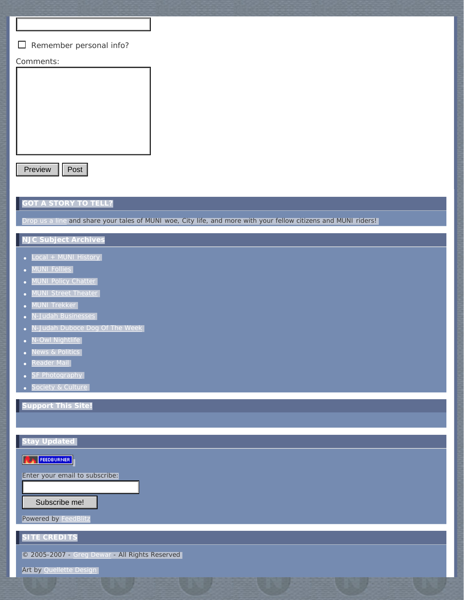#### Remember personal info?

#### Comments:



Preview | Post

## **GOT A STORY TO TELL?**

op us a line and share your tales of MUNI woe, City life, and more with your fellow citizens and MUNI riders! |

# **NJC Subject Archives**

- [Local + MUNI History](http://www.njudahchronicles.com/local_muni_history/)
- **[MUNI Follies](http://www.njudahchronicles.com/muni_follies/)**
- **[MUNI Policy Chatter](http://www.njudahchronicles.com/muni_policy_chatter/)**
- **[MUNI Street Theater](http://www.njudahchronicles.com/muni_street_theater/)**
- **MUNI Trekker**
- [N-Judah Businesses](http://www.njudahchronicles.com/njudah_businesses/)
- [N-Judah Duboce Dog Of The Week](http://www.njudahchronicles.com/njudah_duboce_dog_of_the_week/)
- V-Owl Nightlife
- News & Politics
- [Reader Mail](http://www.njudahchronicles.com/reader_mail/)**s**
- **[SF Photography](http://www.njudahchronicles.com/sf_photography/)**
- **[Society & Culture](http://www.njudahchronicles.com/society_culture/)**

**Support This Site!**

## **Stay Updated**

**EX FEEDBURNER** 

Enter your email to subscribe:

Subscribe me!

Powered by [FeedBlitz](http://www.feedblitz.com/)

**SITE CREDITS**

© 2005-2007 - [Greg Dewar](http://www.dewar.us/) - All Rights Reserved

Art by [Quellette Design](http://www.quellette.net/)